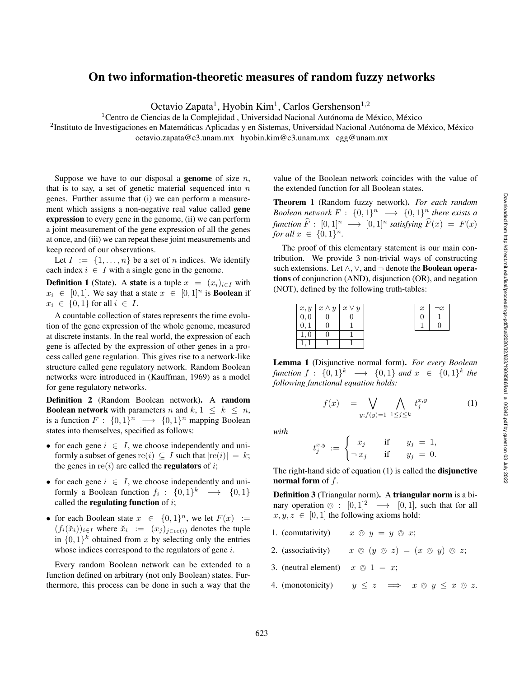Downloaded from http://direct.mit.edu/isal/proceedings-pdf/isal2020/32/623/1908586/isal\_a\_00342.pdf by guest on 03 July 2022

## On two information-theoretic measures of random fuzzy networks

Octavio Zapata<sup>1</sup>, Hyobin Kim<sup>1</sup>, Carlos Gershenson<sup>1,2</sup>

<sup>1</sup> Centro de Ciencias de la Complejidad, Universidad Nacional Autónoma de México, México

<sup>2</sup>Instituto de Investigaciones en Matemáticas Aplicadas y en Sistemas, Universidad Nacional Autónoma de México, México

octavio.zapata@c3.unam.mx hyobin.kim@c3.unam.mx cgg@unam.mx

Suppose we have to our disposal a genome of size  $n$ , that is to say, a set of genetic material sequenced into  $n$ genes. Further assume that (i) we can perform a measurement which assigns a non-negative real value called gene expression to every gene in the genome, (ii) we can perform a joint measurement of the gene expression of all the genes at once, and (iii) we can repeat these joint measurements and keep record of our observations.

Let  $I := \{1, \ldots, n\}$  be a set of *n* indices. We identify each index  $i \in I$  with a single gene in the genome.

**Definition 1** (State). A **state** is a tuple  $x = (x_i)_{i \in I}$  with  $x_i \in [0,1]$ . We say that a state  $x \in [0,1]^n$  is **Boolean** if  $x_i \in \{0,1\}$  for all  $i \in I$ .

A countable collection of states represents the time evolution of the gene expression of the whole genome, measured at discrete instants. In the real world, the expression of each gene is affected by the expression of other genes in a process called gene regulation. This gives rise to a network-like structure called gene regulatory network. Random Boolean networks were introduced in (Kauffman, 1969) as a model for gene regulatory networks.

Definition 2 (Random Boolean network). A random **Boolean network** with parameters *n* and  $k, 1 \leq k \leq n$ , is a function  $F: \{0,1\}^n \longrightarrow \{0,1\}^n$  mapping Boolean states into themselves, specified as follows:

- for each gene  $i \in I$ , we choose independently and uniformly a subset of genes re(i)  $\subseteq I$  such that  $|re(i)| = k$ ; the genes in  $\text{re}(i)$  are called the **regulators** of *i*;
- for each gene  $i \in I$ , we choose independently and uniformly a Boolean function  $f_i : \{0,1\}^k \longrightarrow \{0,1\}$ called the **regulating function** of  $i$ ;
- for each Boolean state  $x \in \{0,1\}^n$ , we let  $F(x) :=$  $(f_i(\breve{x}_i))_{i \in I}$  where  $\breve{x}_i := (x_j)_{j \in \text{re}(i)}$  denotes the tuple in  $\{0,1\}^k$  obtained from x by selecting only the entries whose indices correspond to the regulators of gene  $i$ .

Every random Boolean network can be extended to a function defined on arbitrary (not only Boolean) states. Furthermore, this process can be done in such a way that the

value of the Boolean network coincides with the value of the extended function for all Boolean states.

Theorem 1 (Random fuzzy network) . *For each random Boolean network*  $F: \{0,1\}^n \longrightarrow \{0,1\}^n$  *there exists a*  $f$ *unction*  $\widehat{F}$  :  $[0, 1]^n \longrightarrow [0, 1]^n$  *satisfying*  $\widehat{F}(x) = F(x)$ *for all*  $x \in \{0, 1\}^n$ .

The proof of this elementary statement is our main contribution. We provide 3 non-trivial ways of constructing such extensions. Let  $\wedge$ ,  $\vee$ , and  $\neg$  denote the **Boolean opera**tions of conjunction (AND), disjunction (OR), and negation (NOT), defined by the following truth-tables:

| x, y | $x \wedge y$ | $x \vee y$ |  | $\neg x$ |
|------|--------------|------------|--|----------|
|      |              |            |  |          |
|      |              |            |  |          |
|      |              |            |  |          |
|      |              |            |  |          |

Lemma 1 (Disjunctive normal form) . *For every Boolean function*  $f: \{0,1\}^k \longrightarrow \{0,1\}$  and  $x \in \{0,1\}^k$  the *following functional equation holds:*

$$
f(x) = \bigvee_{y:f(y)=1} \bigwedge_{1 \le j \le k} t_j^{x,y} \tag{1}
$$

*with*

$$
t_j^{x,y} := \begin{cases} x_j & \text{if } y_j = 1, \\ \neg x_j & \text{if } y_j = 0. \end{cases}
$$

The right-hand side of equation (1) is called the disjunctive normal form of  $f$ .

Definition 3 (Triangular norm). A triangular norm is a binary operation  $\otimes$  :  $[0, 1]^2 \longrightarrow [0, 1]$ , such that for all  $x, y, z \in [0, 1]$  the following axioms hold:

- 1. (comutativity)  $x \oslash y = y \oslash x;$
- 2. (associativity)  $x \circledcirc (y \circledcirc z) = (x \circledcirc y) \circledcirc z;$
- 3. (neutral element)  $x \, \circledcirc \, 1 = x;$
- 4. (monotonicity)  $y \leq z \implies x \otimes y \leq x \otimes z.$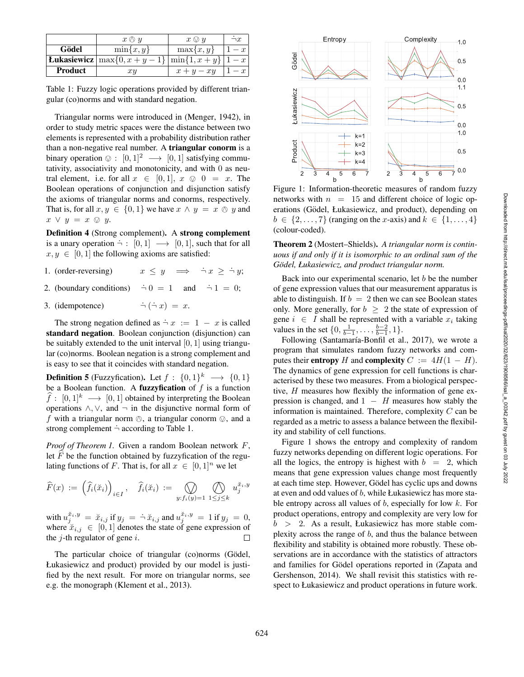|                | $x \bigcirc y$                                         | $x \otimes y$ | $\neg x$ |
|----------------|--------------------------------------------------------|---------------|----------|
| Gödel          | $\min\{x,y\}$                                          | $\max\{x,y\}$ | $1-x$    |
|                | <b>Eukasiewicz</b> $\max\{0, x+y-1\}$ $\min\{1, x+y\}$ |               | $1-x$    |
| <b>Product</b> | xy                                                     | $x+y-xy$      |          |

Table 1: Fuzzy logic operations provided by different triangular (co)norms and with standard negation.

Triangular norms were introduced in (Menger, 1942), in order to study metric spaces were the distance between two elements is represented with a probability distribution rather than a non-negative real number. A triangular conorm is a binary operation  $\otimes : [0,1]^2 \longrightarrow [0,1]$  satisfying commutativity, associativity and monotonicity, and with 0 as neutral element, i.e. for all  $x \in [0,1]$ ,  $x \otimes 0 = x$ . The Boolean operations of conjunction and disjunction satisfy the axioms of triangular norms and conorms, respectively. That is, for all  $x, y \in \{0, 1\}$  we have  $x \wedge y = x \otimes y$  and  $x \lor y = x \otimes y.$ 

Definition 4 (Strong complement) . A strong complement is a unary operation  $\neg : [0,1] \longrightarrow [0,1]$ , such that for all  $x, y \in [0, 1]$  the following axioms are satisfied:

- 1. (order-reversing)  $x \leq y \implies \neg x \geq \neg y;$
- 2. (boundary conditions)  $\dot{\neg} 0 = 1$  and  $\dot{\neg} 1 = 0;$
- 3. (idempotence)  $\dot{\neg}(\dot{\neg} x) = x.$

The strong negation defined as  $\neg x := 1 - x$  is called standard negation. Boolean conjunction (disjunction) can be suitably extended to the unit interval  $[0, 1]$  using triangular (co)norms. Boolean negation is a strong complement and is easy to see that it coincides with standard negation.

**Definition 5** (Fuzzyfication). Let  $f: \{0,1\}^k \longrightarrow \{0,1\}$ be a Boolean function. A **fuzzyfication** of  $f$  is a function  $\hat{f} : [0, 1]^k \longrightarrow [0, 1]$  obtained by interpreting the Boolean operations  $\land$ ,  $\lor$ , and  $\neg$  in the disjunctive normal form of f with a triangular norm  $\otimes$ , a triangular conorm  $\otimes$ , and a strong complement  $\dot{\neg}$  according to Table 1.

Proof of Theorem 1. Given a random Boolean network F, let  $F$  be the function obtained by fuzzyfication of the regulating functions of F. That is, for all  $x \in [0, 1]^n$  we let

$$
\widehat{F}(x) := \left(\widehat{f}_i(\breve{x}_i)\right)_{i \in I}, \quad \widehat{f}_i(\breve{x}_i) := \bigotimes_{y: f_i(y) = 1} \bigotimes_{1 \leq j \leq k} u_j^{\breve{x}_i, y}
$$

with  $u_j^{\breve{x}_i,y} = \breve{x}_{i,j}$  if  $y_j = \dot{\neg} \breve{x}_{i,j}$  and  $u_j^{\breve{x}_i,y} = 1$  if  $y_j = 0$ , where  $\tilde{x}_{i,j} \in [0,1]$  denotes the state of gene expression of the  $j$ -th regulator of gene  $i$ .  $\Box$ 

The particular choice of triangular (co)norms (Gödel, Łukasiewicz and product) provided by our model is justified by the next result. For more on triangular norms, see e.g. the monograph (Klement et al., 2013).



Figure 1: Information-theoretic measures of random fuzzy networks with  $n = 15$  and different choice of logic operations (Gödel, Łukasiewicz, and product), depending on  $b \in \{2, \ldots, 7\}$  (ranging on the x-axis) and  $k \in \{1, \ldots, 4\}$ (colour-coded).

Theorem 2 (Mostert–Shields) . *A triangular norm is continuous if and only if it is isomorphic to an ordinal sum of the Godel, Łukasiewicz, and product triangular norm. ¨*

Back into our experimental scenario, let  $b$  be the number of gene expression values that our measurement apparatus is able to distinguish. If  $b = 2$  then we can see Boolean states only. More generally, for  $b \geq 2$  the state of expression of gene  $i \in I$  shall be represented with a variable  $x_i$  taking values in the set  $\{0, \frac{1}{b-1}, \dots, \frac{b-2}{b-1}, 1\}.$ 

Following (Santamaría-Bonfil et al., 2017), we wrote a program that simulates random fuzzy networks and computes their **entropy** H and **complexity**  $C := 4H(1 - H)$ . The dynamics of gene expression for cell functions is characterised by these two measures. From a biological perspective, H measures how flexibly the information of gene expression is changed, and  $1 - H$  measures how stably the information is maintained. Therefore, complexity  $C$  can be regarded as a metric to assess a balance between the flexibility and stability of cell functions.

Figure 1 shows the entropy and complexity of random fuzzy networks depending on different logic operations. For all the logics, the entropy is highest with  $b = 2$ , which means that gene expression values change most frequently at each time step. However, Gödel has cyclic ups and downs at even and odd values of b, while Łukasiewicz has more stable entropy across all values of  $b$ , especially for low  $k$ . For product operations, entropy and complexity are very low for  $b > 2$ . As a result, Łukasiewicz has more stable complexity across the range of  $b$ , and thus the balance between flexibility and stability is obtained more robustly. These observations are in accordance with the statistics of attractors and families for Gödel operations reported in (Zapata and Gershenson, 2014). We shall revisit this statistics with respect to Łukasiewicz and product operations in future work.